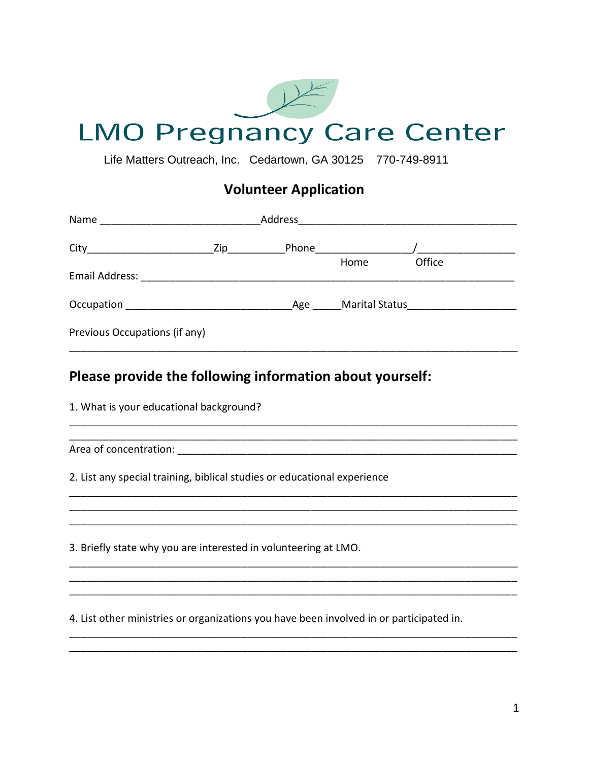

Life Matters Outreach, Inc. Cedartown, GA 30125 770-749-8911

## **Volunteer Application**

| Name                                                                                                          | Address                 |     |                             |                                        |
|---------------------------------------------------------------------------------------------------------------|-------------------------|-----|-----------------------------|----------------------------------------|
|                                                                                                               | $\mathsf{Zip}_{\_\!\_}$ |     | <b>Phone Contract Phone</b> |                                        |
| Email Address: 2008. 2009. 2010. 2010. 2010. 2010. 2010. 2010. 2010. 2010. 2011. 2012. 2013. 2014. 2016. 2017 |                         |     | Home                        | Office                                 |
| Occupation                                                                                                    |                         | Age |                             | Marital Status and Theorem and Theorem |
| Previous Occupations (if any)                                                                                 |                         |     |                             |                                        |

## Please provide the following information about yourself:

1. What is your educational background?

2. List any special training, biblical studies or educational experience

3. Briefly state why you are interested in volunteering at LMO.

4. List other ministries or organizations you have been involved in or participated in.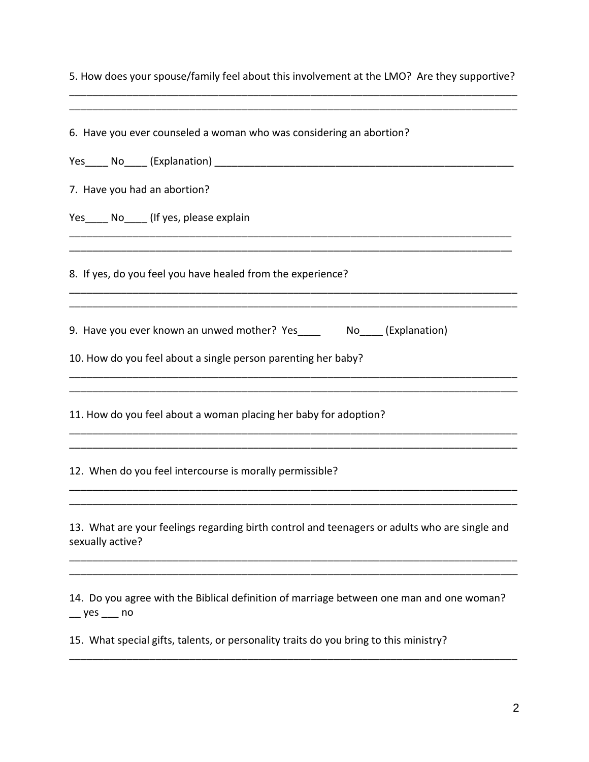| 5. How does your spouse/family feel about this involvement at the LMO? Are they supportive?                                             |
|-----------------------------------------------------------------------------------------------------------------------------------------|
| 6. Have you ever counseled a woman who was considering an abortion?                                                                     |
| 7. Have you had an abortion?                                                                                                            |
| Yes No (If yes, please explain                                                                                                          |
| 8. If yes, do you feel you have healed from the experience?                                                                             |
| 9. Have you ever known an unwed mother? Yes ______ No____(Explanation)<br>10. How do you feel about a single person parenting her baby? |
| 11. How do you feel about a woman placing her baby for adoption?                                                                        |
| 12. When do you feel intercourse is morally permissible?                                                                                |
| 13. What are your feelings regarding birth control and teenagers or adults who are single and<br>sexually active?                       |
| 14. Do you agree with the Biblical definition of marriage between one man and one woman?<br>$-$ yes $-$ no                              |
| 15. What special gifts, talents, or personality traits do you bring to this ministry?                                                   |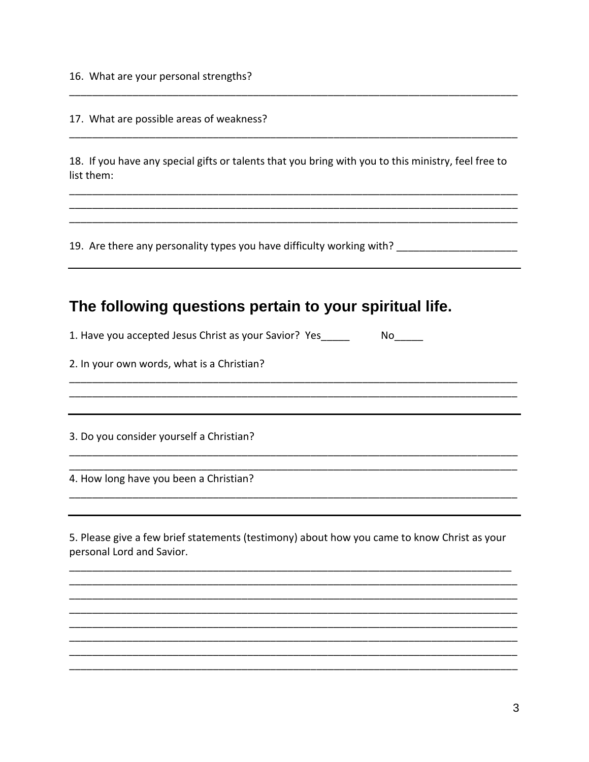16. What are your personal strengths?

17. What are possible areas of weakness?

18. If you have any special gifts or talents that you bring with you to this ministry, feel free to list them:

19. Are there any personality types you have difficulty working with? \_\_\_\_\_\_\_\_\_\_\_\_\_\_\_\_\_\_\_\_\_\_\_\_\_\_\_\_\_

## The following questions pertain to your spiritual life.

1. Have you accepted Jesus Christ as your Savior? Yes\_\_\_\_\_ 

2. In your own words, what is a Christian?

3. Do you consider yourself a Christian?

4. How long have you been a Christian?

5. Please give a few brief statements (testimony) about how you came to know Christ as your personal Lord and Savior.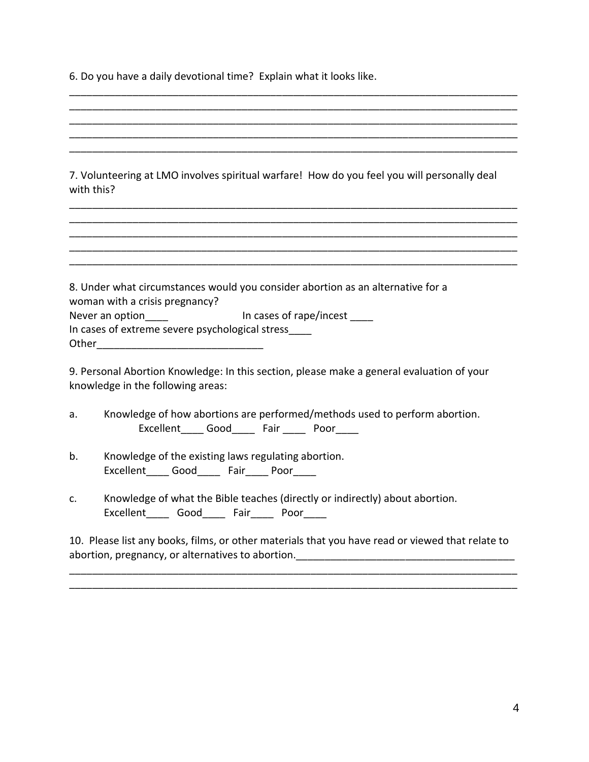6. Do you have a daily devotional time? Explain what it looks like.

| with this?                                      | 7. Volunteering at LMO involves spiritual warfare! How do you feel you will personally deal |
|-------------------------------------------------|---------------------------------------------------------------------------------------------|
|                                                 |                                                                                             |
|                                                 |                                                                                             |
|                                                 |                                                                                             |
|                                                 |                                                                                             |
| woman with a crisis pregnancy?                  | 8. Under what circumstances would you consider abortion as an alternative for a             |
| Never an option and the state of rape/incest    |                                                                                             |
| In cases of extreme severe psychological stress |                                                                                             |
|                                                 |                                                                                             |
|                                                 | 9. Personal Abortion Knowledge: In this section, please make a general evaluation of your   |

\_\_\_\_\_\_\_\_\_\_\_\_\_\_\_\_\_\_\_\_\_\_\_\_\_\_\_\_\_\_\_\_\_\_\_\_\_\_\_\_\_\_\_\_\_\_\_\_\_\_\_\_\_\_\_\_\_\_\_\_\_\_\_\_\_\_\_\_\_\_\_\_\_\_\_\_\_\_

knowledge in the following areas:

- a. Knowledge of how abortions are performed/methods used to perform abortion. Excellent Good Fair Poor
- b. Knowledge of the existing laws regulating abortion. Excellent Good Fair Poor
- c. Knowledge of what the Bible teaches (directly or indirectly) about abortion. Excellent\_\_\_\_\_ Good\_\_\_\_\_ Fair\_\_\_\_\_ Poor\_\_\_\_\_

10. Please list any books, films, or other materials that you have read or viewed that relate to abortion, pregnancy, or alternatives to abortion.

\_\_\_\_\_\_\_\_\_\_\_\_\_\_\_\_\_\_\_\_\_\_\_\_\_\_\_\_\_\_\_\_\_\_\_\_\_\_\_\_\_\_\_\_\_\_\_\_\_\_\_\_\_\_\_\_\_\_\_\_\_\_\_\_\_\_\_\_\_\_\_\_\_\_\_\_\_\_ \_\_\_\_\_\_\_\_\_\_\_\_\_\_\_\_\_\_\_\_\_\_\_\_\_\_\_\_\_\_\_\_\_\_\_\_\_\_\_\_\_\_\_\_\_\_\_\_\_\_\_\_\_\_\_\_\_\_\_\_\_\_\_\_\_\_\_\_\_\_\_\_\_\_\_\_\_\_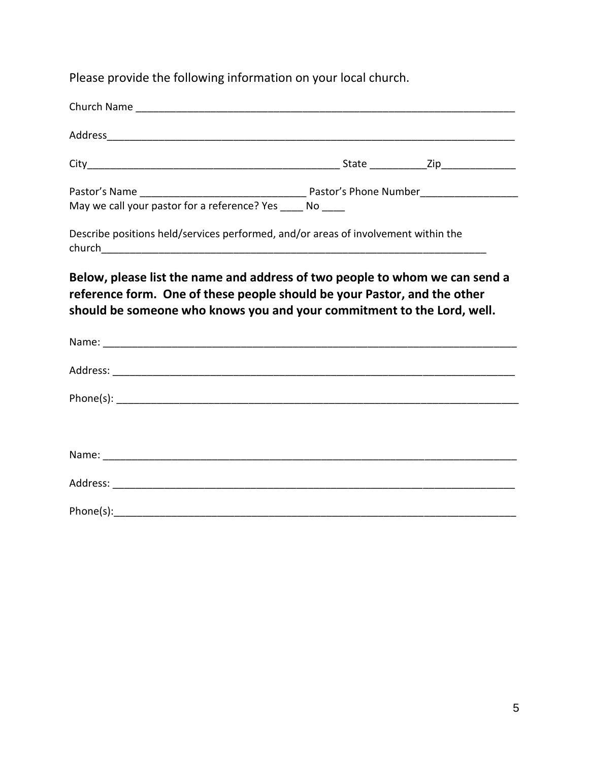Please provide the following information on your local church.

| Address Address Address Address Address Address Address Address Address Address Address Address Address Address Address Address Address Address Address Address Address Address Address Address Address Address Address Addres    |  |
|-----------------------------------------------------------------------------------------------------------------------------------------------------------------------------------------------------------------------------------|--|
|                                                                                                                                                                                                                                   |  |
|                                                                                                                                                                                                                                   |  |
| May we call your pastor for a reference? Yes _____ No _____                                                                                                                                                                       |  |
| Describe positions held/services performed, and/or areas of involvement within the                                                                                                                                                |  |
| Below, please list the name and address of two people to whom we can send a<br>reference form. One of these people should be your Pastor, and the other<br>should be someone who knows you and your commitment to the Lord, well. |  |
|                                                                                                                                                                                                                                   |  |
|                                                                                                                                                                                                                                   |  |
|                                                                                                                                                                                                                                   |  |
|                                                                                                                                                                                                                                   |  |
| Address: _______________                                                                                                                                                                                                          |  |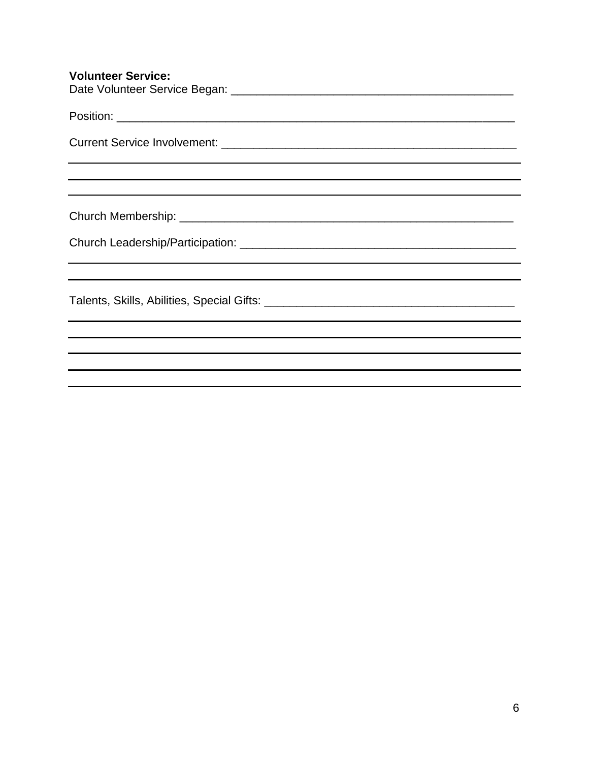| <b>Volunteer Service:</b>                                                                                                                                                                                                                                               |
|-------------------------------------------------------------------------------------------------------------------------------------------------------------------------------------------------------------------------------------------------------------------------|
|                                                                                                                                                                                                                                                                         |
|                                                                                                                                                                                                                                                                         |
|                                                                                                                                                                                                                                                                         |
|                                                                                                                                                                                                                                                                         |
|                                                                                                                                                                                                                                                                         |
|                                                                                                                                                                                                                                                                         |
| ,我们也不能在这里的时候,我们也不能在这里的时候,我们也不能会不能会不能会不能会不能会不能会不能会不能会不能会不能会。<br>第2012章 我们的时候,我们的时候,我们的时候,我们的时候,我们的时候,我们的时候,我们的时候,我们的时候,我们的时候,我们的时候,我们的时候,我们的时候,我<br><u> 1989 - Andrea Andrea Andrea Andrea Andrea Andrea Andrea Andrea Andrea Andrea Andrea Andrea Andrea Andrea And</u> |
|                                                                                                                                                                                                                                                                         |
|                                                                                                                                                                                                                                                                         |
|                                                                                                                                                                                                                                                                         |
|                                                                                                                                                                                                                                                                         |
|                                                                                                                                                                                                                                                                         |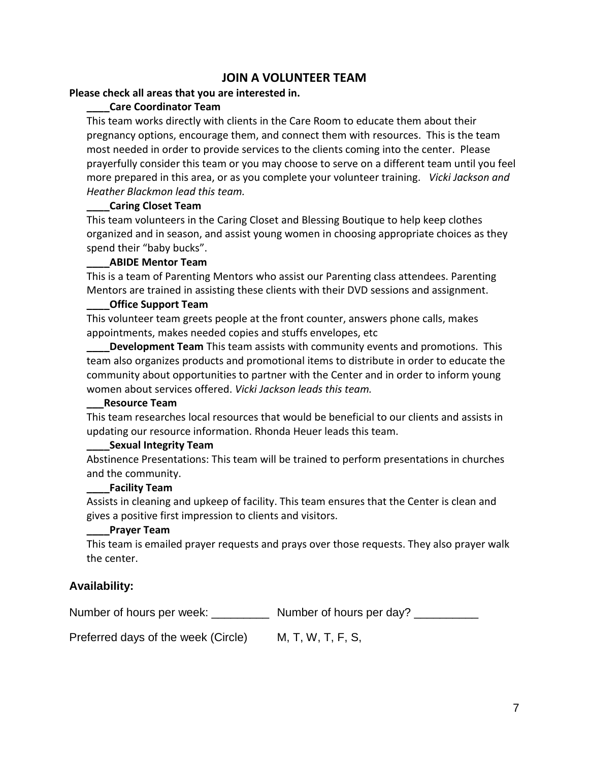### **JOIN A VOLUNTEER TEAM**

#### **Please check all areas that you are interested in.**

#### **\_\_\_\_Care Coordinator Team**

This team works directly with clients in the Care Room to educate them about their pregnancy options, encourage them, and connect them with resources. This is the team most needed in order to provide services to the clients coming into the center. Please prayerfully consider this team or you may choose to serve on a different team until you feel more prepared in this area, or as you complete your volunteer training. *Vicki Jackson and Heather Blackmon lead this team.*

#### **\_\_\_\_Caring Closet Team**

This team volunteers in the Caring Closet and Blessing Boutique to help keep clothes organized and in season, and assist young women in choosing appropriate choices as they spend their "baby bucks".

#### **\_\_\_\_ABIDE Mentor Team**

This is a team of Parenting Mentors who assist our Parenting class attendees. Parenting Mentors are trained in assisting these clients with their DVD sessions and assignment.

#### **\_\_\_\_Office Support Team**

This volunteer team greets people at the front counter, answers phone calls, makes appointments, makes needed copies and stuffs envelopes, etc

**Development Team** This team assists with community events and promotions. This team also organizes products and promotional items to distribute in order to educate the community about opportunities to partner with the Center and in order to inform young women about services offered. *Vicki Jackson leads this team.*

#### **\_\_\_Resource Team**

This team researches local resources that would be beneficial to our clients and assists in updating our resource information. Rhonda Heuer leads this team.

#### **\_\_\_\_Sexual Integrity Team**

Abstinence Presentations: This team will be trained to perform presentations in churches and the community.

#### **\_\_\_\_Facility Team**

Assists in cleaning and upkeep of facility. This team ensures that the Center is clean and gives a positive first impression to clients and visitors.

#### **\_\_\_\_Prayer Team**

This team is emailed prayer requests and prays over those requests. They also prayer walk the center.

### **Availability:**

Number of hours per week: Number of hours per day?

Preferred days of the week (Circle) M, T, W, T, F, S,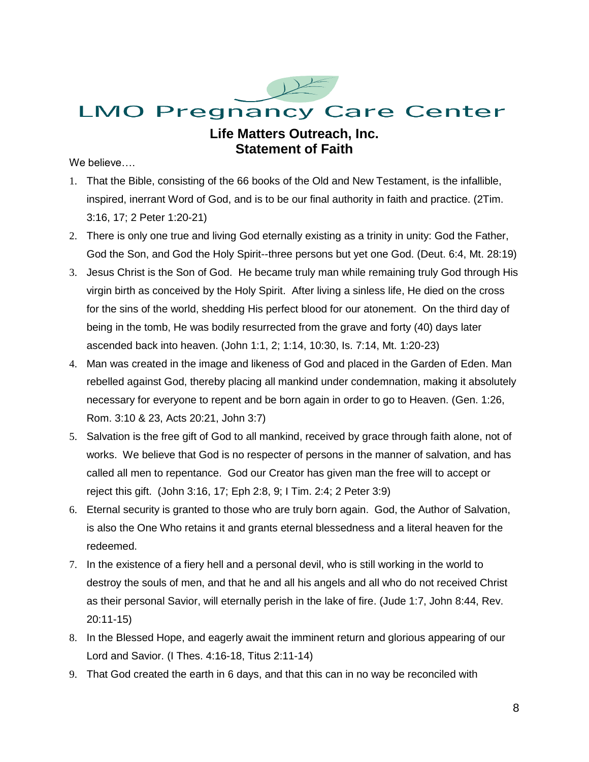

### **Life Matters Outreach, Inc. Statement of Faith**

We believe….

- 1. That the Bible, consisting of the 66 books of the Old and New Testament, is the infallible, inspired, inerrant Word of God, and is to be our final authority in faith and practice. (2Tim. 3:16, 17; 2 Peter 1:20-21)
- 2. There is only one true and living God eternally existing as a trinity in unity: God the Father, God the Son, and God the Holy Spirit--three persons but yet one God. (Deut. 6:4, Mt. 28:19)
- 3. Jesus Christ is the Son of God. He became truly man while remaining truly God through His virgin birth as conceived by the Holy Spirit. After living a sinless life, He died on the cross for the sins of the world, shedding His perfect blood for our atonement. On the third day of being in the tomb, He was bodily resurrected from the grave and forty (40) days later ascended back into heaven. (John 1:1, 2; 1:14, 10:30, Is. 7:14, Mt. 1:20-23)
- 4. Man was created in the image and likeness of God and placed in the Garden of Eden. Man rebelled against God, thereby placing all mankind under condemnation, making it absolutely necessary for everyone to repent and be born again in order to go to Heaven. (Gen. 1:26, Rom. 3:10 & 23, Acts 20:21, John 3:7)
- 5. Salvation is the free gift of God to all mankind, received by grace through faith alone, not of works. We believe that God is no respecter of persons in the manner of salvation, and has called all men to repentance. God our Creator has given man the free will to accept or reject this gift. (John 3:16, 17; Eph 2:8, 9; I Tim. 2:4; 2 Peter 3:9)
- 6. Eternal security is granted to those who are truly born again. God, the Author of Salvation, is also the One Who retains it and grants eternal blessedness and a literal heaven for the redeemed.
- 7. In the existence of a fiery hell and a personal devil, who is still working in the world to destroy the souls of men, and that he and all his angels and all who do not received Christ as their personal Savior, will eternally perish in the lake of fire. (Jude 1:7, John 8:44, Rev. 20:11-15)
- 8. In the Blessed Hope, and eagerly await the imminent return and glorious appearing of our Lord and Savior. (I Thes. 4:16-18, Titus 2:11-14)
- 9. That God created the earth in 6 days, and that this can in no way be reconciled with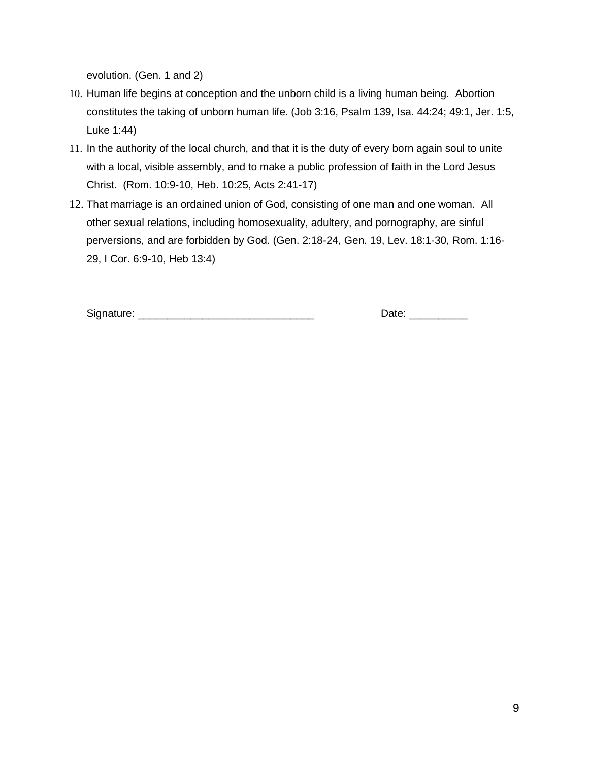evolution. (Gen. 1 and 2)

- 10. Human life begins at conception and the unborn child is a living human being. Abortion constitutes the taking of unborn human life. (Job 3:16, Psalm 139, Isa. 44:24; 49:1, Jer. 1:5, Luke 1:44)
- 11. In the authority of the local church, and that it is the duty of every born again soul to unite with a local, visible assembly, and to make a public profession of faith in the Lord Jesus Christ. (Rom. 10:9-10, Heb. 10:25, Acts 2:41-17)
- 12. That marriage is an ordained union of God, consisting of one man and one woman. All other sexual relations, including homosexuality, adultery, and pornography, are sinful perversions, and are forbidden by God. (Gen. 2:18-24, Gen. 19, Lev. 18:1-30, Rom. 1:16- 29, I Cor. 6:9-10, Heb 13:4)

Signature: \_\_\_\_\_\_\_\_\_\_\_\_\_\_\_\_\_\_\_\_\_\_\_\_\_\_\_\_\_\_ Date: \_\_\_\_\_\_\_\_\_\_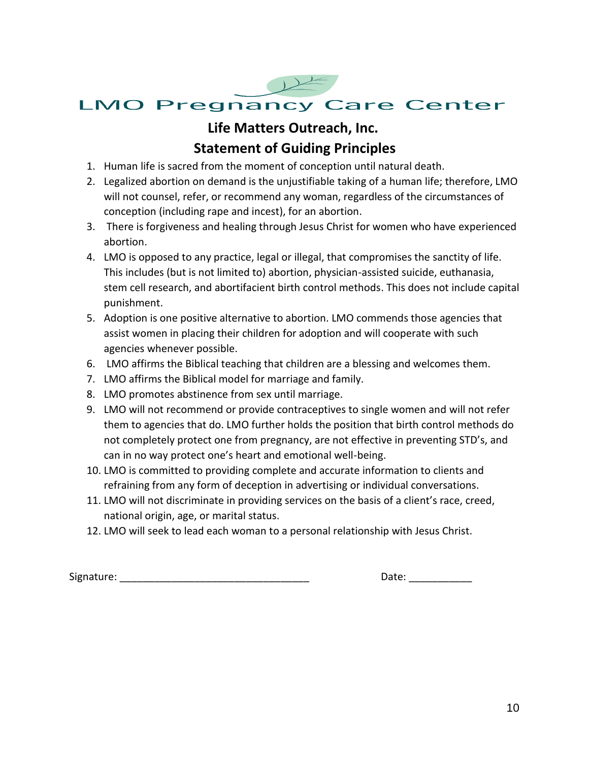

# **LMO Pregnancy Care Center**

# **Life Matters Outreach, Inc. Statement of Guiding Principles**

- 1. Human life is sacred from the moment of conception until natural death.
- 2. Legalized abortion on demand is the unjustifiable taking of a human life; therefore, LMO will not counsel, refer, or recommend any woman, regardless of the circumstances of conception (including rape and incest), for an abortion.
- 3. There is forgiveness and healing through Jesus Christ for women who have experienced abortion.
- 4. LMO is opposed to any practice, legal or illegal, that compromises the sanctity of life. This includes (but is not limited to) abortion, physician-assisted suicide, euthanasia, stem cell research, and abortifacient birth control methods. This does not include capital punishment.
- 5. Adoption is one positive alternative to abortion. LMO commends those agencies that assist women in placing their children for adoption and will cooperate with such agencies whenever possible.
- 6. LMO affirms the Biblical teaching that children are a blessing and welcomes them.
- 7. LMO affirms the Biblical model for marriage and family.
- 8. LMO promotes abstinence from sex until marriage.
- 9. LMO will not recommend or provide contraceptives to single women and will not refer them to agencies that do. LMO further holds the position that birth control methods do not completely protect one from pregnancy, are not effective in preventing STD's, and can in no way protect one's heart and emotional well-being.
- 10. LMO is committed to providing complete and accurate information to clients and refraining from any form of deception in advertising or individual conversations.
- 11. LMO will not discriminate in providing services on the basis of a client's race, creed, national origin, age, or marital status.
- 12. LMO will seek to lead each woman to a personal relationship with Jesus Christ.

Signature: \_\_\_\_\_\_\_\_\_\_\_\_\_\_\_\_\_\_\_\_\_\_\_\_\_\_\_\_\_\_\_\_\_ Date: \_\_\_\_\_\_\_\_\_\_\_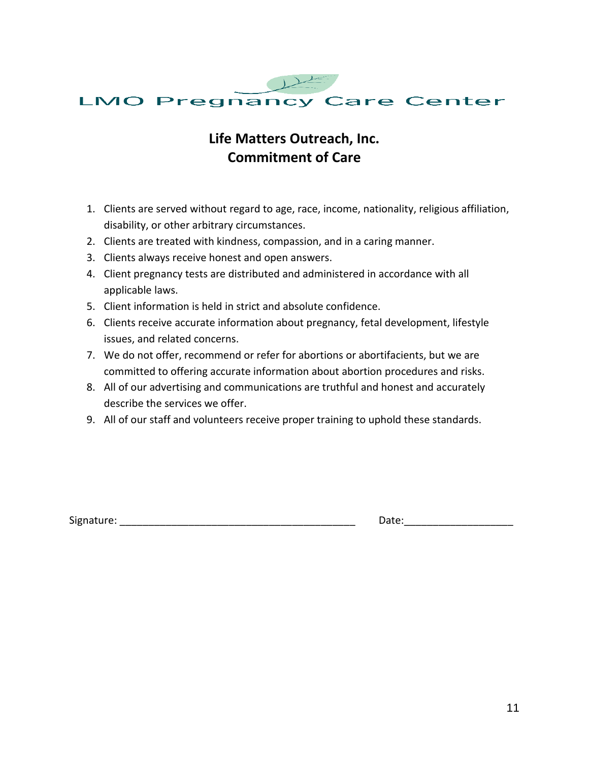

# **Life Matters Outreach, Inc. Commitment of Care**

- 1. Clients are served without regard to age, race, income, nationality, religious affiliation, disability, or other arbitrary circumstances.
- 2. Clients are treated with kindness, compassion, and in a caring manner.
- 3. Clients always receive honest and open answers.
- 4. Client pregnancy tests are distributed and administered in accordance with all applicable laws.
- 5. Client information is held in strict and absolute confidence.
- 6. Clients receive accurate information about pregnancy, fetal development, lifestyle issues, and related concerns.
- 7. We do not offer, recommend or refer for abortions or abortifacients, but we are committed to offering accurate information about abortion procedures and risks.
- 8. All of our advertising and communications are truthful and honest and accurately describe the services we offer.
- 9. All of our staff and volunteers receive proper training to uphold these standards.

Signature: \_\_\_\_\_\_\_\_\_\_\_\_\_\_\_\_\_\_\_\_\_\_\_\_\_\_\_\_\_\_\_\_\_\_\_\_\_\_\_\_\_ Date:\_\_\_\_\_\_\_\_\_\_\_\_\_\_\_\_\_\_\_